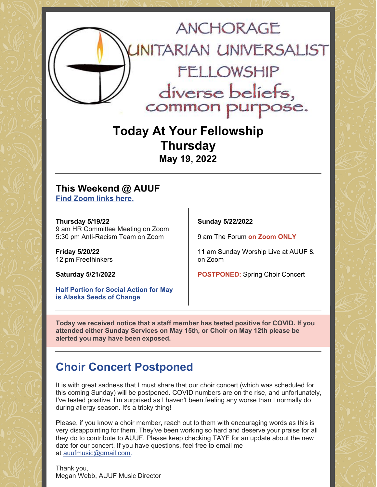

**Today At Your Fellowship Thursday May 19, 2022**

#### **This Weekend @ AUUF Find [Zoom](https://www.anchorageuuf.org/whats-happening) links here.**

**Thursday 5/19/22** 9 am HR Committee Meeting on Zoom 5:30 pm Anti-Racism Team on Zoom

**Friday 5/20/22** 12 pm Freethinkers

**Saturday 5/21/2022**

**Half Portion for Social Action for May is Alaska Seeds of [Change](https://www.eservicepayments.com/cgi-bin/Vanco_ver3.vps?appver3=Fi1giPL8kwX_Oe1AO50jRq-vqhYD4HFEUDzzpS446PZEOVZpPcIw91FrYieK2rA42EvVVAEjqawDomKT1pboucV3cfeg9mlq7KhWIsh8T0g=&ver=3)**

**Sunday 5/22/2022**

9 am The Forum **on Zoom ONLY**

11 am Sunday Worship Live at AUUF & on Zoom

**POSTPONED:** Spring Choir Concert

**Today we received notice that a staff member has tested positive for COVID. If you attended either Sunday Services on May 15th, or Choir on May 12th please be alerted you may have been exposed.**

## **Choir Concert Postponed**

It is with great sadness that I must share that our choir concert (which was scheduled for this coming Sunday) will be postponed. COVID numbers are on the rise, and unfortunately, I've tested positive. I'm surprised as I haven't been feeling any worse than I normally do during allergy season. It's a tricky thing!

Please, if you know a choir member, reach out to them with encouraging words as this is very disappointing for them. They've been working so hard and deserve your praise for all they do to contribute to AUUF. Please keep checking TAYF for an update about the new date for our concert. If you have questions, feel free to email me at [auufmusic@gmail.com](mailto:auufmusic@gmail.com).

Thank you, Megan Webb, AUUF Music Director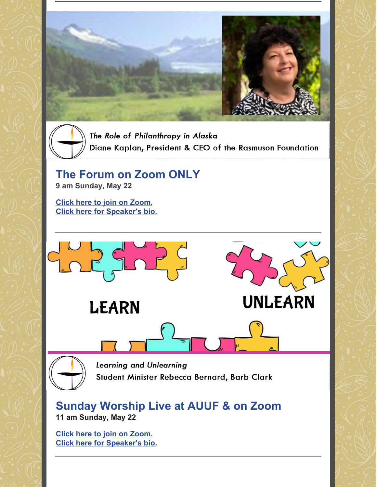

The Role of Philanthropy in Alaska Diane Kaplan, President & CEO of the Rasmuson Foundation

# **The Forum on Zoom ONLY**

**9 am Sunday, May 22**

**Click here to join on [Zoom.](https://www.anchorageuuf.org/sundayonzoom) Click here for [Speaker's](https://www.anchorageuuf.org/services-support) bio.**



#### **Sunday Worship Live at AUUF & on Zoom 11 am Sunday, May 22**

**Click here to join on [Zoom.](https://www.anchorageuuf.org/sundayonzoom) Click here for [Speaker's](https://www.anchorageuuf.org/services-support) bio.**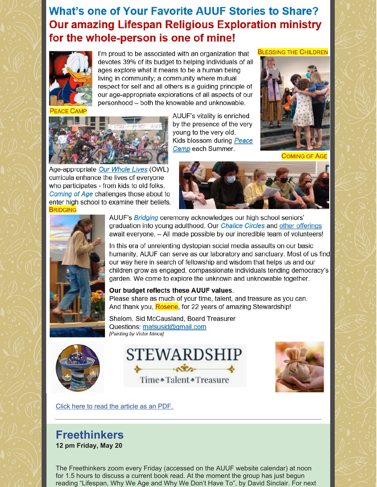## **What's one of Your Favorite AUUF Stories to Share? Our amazing Lifespan Religious Exploration ministry** for the whole-person is one of mine!



I'm proud to be associated with an organization that devotes 39% of its budget to helping individuals of all ages explore what it means to be a human being living in community; a community where mutual respect for self and all others is a guiding principle of our age-appropriate explorations of all aspects of our personhood - both the knowable and unknowable.



Age-appropriate Our Whole Lives (OWL) curricula enhance the lives of everyone who participates - from kids to old folks. Coming of Age challenges those about to enter high school to examine their beliefs. **BRIDGING** 

AUUF's vitality is enriched by the presence of the very young to the very old. Kids blossom during Peace Camp each Summer.



**BLESSING THE CHILDREN** 

**COMING OF AGE** 





AUUF's Bridging ceremony acknowledges our high school seniors' graduation into young adulthood. Our *Chalice Circles* and other offerings await everyone. - All made possible by our incredible team of volunteers!

In this era of unrelenting dystopian social media assaults on our basic humanity, AUUF can serve as our laboratory and sanctuary. Most of us find our way here in search of fellowship and wisdom that helps us and our children grow as engaged, compassionate individuals tending democracy's garden. We come to explore the unknown and unknowable together.

#### Our budget reflects these AUUF values.

Please share as much of your time, talent, and treasure as you can. And thank you, Rosene, for 22 years of amazing Stewardship!

Shalom, Sid McCausland, Board Treasurer Questions: matsusid@gmail.com [Painting by Victor Minca]



STEWARDSHIP Time \* Talent \* Treasure



Click here to read the [article](https://files.constantcontact.com/d8ad4d72701/01558fa7-f33f-4625-bffb-9c81ae7d6275.pdf) as an PDF.

#### **Freethinkers 12 pm Friday, May 20**

The Freethinkers zoom every Friday (accessed on the AUUF website calendar) at noon for 1.5 hours to discuss a current book read. At the moment the group has just begun reading "Lifespan, Why We Age and Why We Don't Have To", by David Sinclair. For next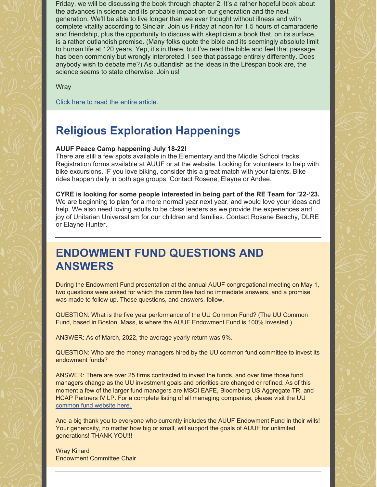Friday, we will be discussing the book through chapter 2. It's a rather hopeful book about the advances in science and its probable impact on our generation and the next generation. We'll be able to live longer than we ever thought without illness and with complete vitality according to Sinclair. Join us Friday at noon for 1.5 hours of camaraderie and friendship, plus the opportunity to discuss with skepticism a book that, on its surface, is a rather outlandish premise. (Many folks quote the bible and its seemingly absolute limit to human life at 120 years. Yep, it's in there, but I've read the bible and feel that passage has been commonly but wrongly interpreted. I see that passage entirely differently. Does anybody wish to debate me?) As outlandish as the ideas in the Lifespan book are, the science seems to state otherwise. Join us!

**Wray** 

Click here to read the entire [article.](https://docs.google.com/document/d/14OHnZ8dyu1pGt8HEOrVemVjygsHI6FnhfD4bn8VwF_0/edit?usp=sharing)

#### **Religious Exploration Happenings**

#### **AUUF Peace Camp happening July 18-22!**

There are still a few spots available in the Elementary and the Middle School tracks. Registration forms available at AUUF or at the website. Looking for volunteers to help with bike excursions. IF you love biking, consider this a great match with your talents. Bike rides happen daily in both age groups. Contact Rosene, Elayne or Andee.

**CYRE is looking for some people interested in being part of the RE Team for '22-'23.** We are beginning to plan for a more normal year next year, and would love your ideas and help. We also need loving adults to be class leaders as we provide the experiences and joy of Unitarian Universalism for our children and families. Contact Rosene Beachy, DLRE or Elayne Hunter.

#### **ENDOWMENT FUND QUESTIONS AND ANSWERS**

During the Endowment Fund presentation at the annual AUUF congregational meeting on May 1, two questions were asked for which the committee had no immediate answers, and a promise was made to follow up. Those questions, and answers, follow.

QUESTION: What is the five year performance of the UU Common Fund? (The UU Common Fund, based in Boston, Mass, is where the AUUF Endowment Fund is 100% invested.)

ANSWER: As of March, 2022, the average yearly return was 9%.

QUESTION: Who are the money managers hired by the UU common fund committee to invest its endowment funds?

ANSWER: There are over 25 firms contracted to invest the funds, and over time those fund managers change as the UU investment goals and priorities are changed or refined. As of this moment a few of the larger fund managers are MSCI EAFE, Bloomberg US Aggregate TR, and HCAP Partners IV LP. For a complete listing of all managing companies, please visit the UU [common](https://uucef.org/files/2022/04/March-Flash-Report.pdf) fund website here.

And a big thank you to everyone who currently includes the AUUF Endowment Fund in their wills! Your generosity, no matter how big or small, will support the goals of AUUF for unlimited generations! THANK YOU!!!

Wray Kinard Endowment Committee Chair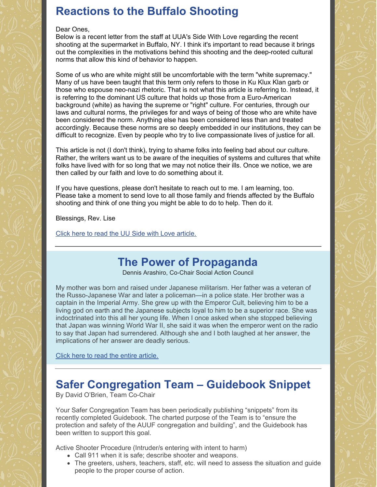# **Reactions to the Buffalo Shooting**

#### Dear Ones,

Below is a recent letter from the staff at UUA's Side With Love regarding the recent shooting at the supermarket in Buffalo, NY. I think it's important to read because it brings out the complexities in the motivations behind this shooting and the deep-rooted cultural norms that allow this kind of behavior to happen.

Some of us who are white might still be uncomfortable with the term "white supremacy." Many of us have been taught that this term only refers to those in Ku Klux Klan garb or those who espouse neo-nazi rhetoric. That is not what this article is referring to. Instead, it is referring to the dominant US culture that holds up those from a Euro-American background (white) as having the supreme or "right" culture. For centuries, through our laws and cultural norms, the privileges for and ways of being of those who are white have been considered the norm. Anything else has been considered less than and treated accordingly. Because these norms are so deeply embedded in our institutions, they can be difficult to recognize. Even by people who try to live compassionate lives of justice for all.

This article is not (I don't think), trying to shame folks into feeling bad about our culture. Rather, the writers want us to be aware of the inequities of systems and cultures that white folks have lived with for so long that we may not notice their ills. Once we notice, we are then called by our faith and love to do something about it.

If you have questions, please don't hesitate to reach out to me. I am learning, too. Please take a moment to send love to all those family and friends affected by the Buffalo shooting and think of one thing you might be able to do to help. Then do it.

Blessings, Rev. Lise

Click here to read the UU Side with Love [article.](https://sidewithlove.org/ourstories/2022/5/16/buffalo-statement?fbclid=IwAR39fCubNehvJH3ADWPMb7n_sbfCJCx_1eX9Y9qQutnSk_g3c8kyikyS0Yc)

# **The Power of Propaganda**

Dennis Arashiro, Co-Chair Social Action Council

My mother was born and raised under Japanese militarism. Her father was a veteran of the Russo-Japanese War and later a policeman—in a police state. Her brother was a captain in the Imperial Army. She grew up with the Emperor Cult, believing him to be a living god on earth and the Japanese subjects loyal to him to be a superior race. She was indoctrinated into this all her young life. When I once asked when she stopped believing that Japan was winning World War II, she said it was when the emperor went on the radio to say that Japan had surrendered. Although she and I both laughed at her answer, the implications of her answer are deadly serious.

Click here to read the entire [article.](https://drive.google.com/file/d/1LUgoUXUspVUqOhkyN9nHySPADUuHJWMB/view?usp=sharing)

# **Safer Congregation Team – Guidebook Snippet**

By David O'Brien, Team Co-Chair

Your Safer Congregation Team has been periodically publishing "snippets" from its recently completed Guidebook. The charted purpose of the Team is to "ensure the protection and safety of the AUUF congregation and building", and the Guidebook has been written to support this goal.

Active Shooter Procedure (Intruder/s entering with intent to harm)

- Call 911 when it is safe; describe shooter and weapons.
- The greeters, ushers, teachers, staff, etc. will need to assess the situation and guide people to the proper course of action.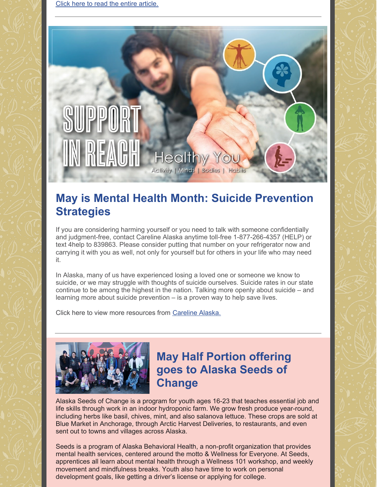# **Health Activity | Minds | Bodies |**

## **May is Mental Health Month: Suicide Prevention Strategies**

If you are considering harming yourself or you need to talk with someone confidentially and judgment-free, contact Careline Alaska anytime toll-free 1-877-266-4357 (HELP) or text 4help to 839863. Please consider putting that number on your refrigerator now and carrying it with you as well, not only for yourself but for others in your life who may need it.

In Alaska, many of us have experienced losing a loved one or someone we know to suicide, or we may struggle with thoughts of suicide ourselves. Suicide rates in our state continue to be among the highest in the nation. Talking more openly about suicide – and learning more about suicide prevention – is a proven way to help save lives.

Click here to view more resources from [Careline](https://carelinealaska.com/) Alaska.



## **May Half Portion offering goes to Alaska Seeds of Change**

Alaska Seeds of Change is a program for youth ages 16-23 that teaches essential job and life skills through work in an indoor hydroponic farm. We grow fresh produce year-round, including herbs like basil, chives, mint, and also salanova lettuce. These crops are sold at Blue Market in Anchorage, through Arctic Harvest Deliveries, to restaurants, and even sent out to towns and villages across Alaska.

Seeds is a program of Alaska Behavioral Health, a non-profit organization that provides mental health services, centered around the motto & Wellness for Everyone. At Seeds, apprentices all learn about mental health through a Wellness 101 workshop, and weekly movement and mindfulness breaks. Youth also have time to work on personal development goals, like getting a driver's license or applying for college.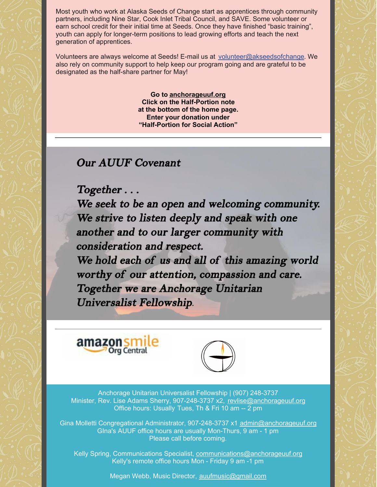Most youth who work at Alaska Seeds of Change start as apprentices through community partners, including Nine Star, Cook Inlet Tribal Council, and SAVE. Some volunteer or earn school credit for their initial time at Seeds. Once they have finished "basic training", youth can apply for longer-term positions to lead growing efforts and teach the next generation of apprentices.

Volunteers are always welcome at Seeds! E-mail us at volunteer@akseedsofchange. We also rely on community support to help keep our program going and are grateful to be designated as the half-share partner for May!

> **Go to [anchorageuuf.org](http://anchorageuuf.org/) Click on the Half-Portion note at the bottom of the home page. Enter your donation under "Half-Portion for Social Action"**

#### **Our AUUF Covenant**

 $Together...$ 

We seek to be an open and welcoming community. We strive to listen deeply and speak with one another and to our larger community with consideration and respect. We hold each of us and all of this amazing world worthy of our attention, compassion and care. Together we are Anchorage Unitarian Universalist Fellowship.





Anchorage Unitarian Universalist Fellowship | (907) 248-3737 Minister, Rev. Lise Adams Sherry, 907-248-3737 x2, [revlise@anchorageuuf.org](mailto:revlise@anchorageuuf.org) Office hours: Usually Tues, Th & Fri 10 am -- 2 pm

Gina Molletti Congregational Administrator, 907-248-3737 x1 admin@anchorageuuf.org GIna's AUUF office hours are usually Mon-Thurs, 9 am - 1 pm Please call before coming.

Kelly Spring, Communications Specialist, communications@anchorageuuf.org Kelly's remote office hours Mon - Friday 9 am -1 pm

Megan Webb, Music Director, auufmusic@gmail.com